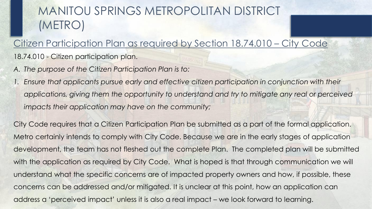Citizen Participation Plan as required by Section 18.74.010 – City Code 18.74.010 - Citizen participation plan.

- *A. The purpose of the Citizen Participation Plan is to:*
- *1. Ensure that applicants pursue early and effective citizen participation in conjunction with their*  applications, giving them the opportunity to understand and try to mitigate any real or perceived *impacts their application may have on the community;*

City Code requires that a Citizen Participation Plan be submitted as a part of the formal application. Metro certainly intends to comply with City Code. Because we are in the early stages of application development, the team has not fleshed out the complete Plan. The completed plan will be submitted with the application as required by City Code. What is hoped is that through communication we will understand what the specific concerns are of impacted property owners and how, if possible, these concerns can be addressed and/or mitigated. It is unclear at this point, how an application can address a 'perceived impact' unless it is also a real impact – we look forward to learning.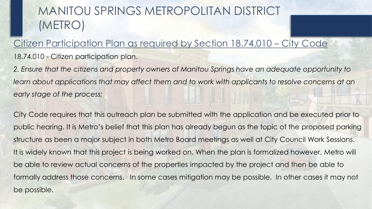18.74.010 - Citizen participation plan. Citizen Participation Plan as required by Section 18.74.010 – City Code

*2. Ensure that the citizens and property owners of Manitou Springs have an adequate opportunity to*  learn about applications that may affect them and to work with applicants to resolve concerns at an *early stage of the process;* 

City Code requires that this outreach plan be submitted with the application and be executed prior to public hearing. It is Metro's belief that this plan has already begun as the topic of the proposed parking structure as been a major subject in both Metro Board meetings as well at City Council Work Sessions. It is widely known that this project is being worked on. When the plan is formalized however, Metro will be able to review actual concerns of the properties impacted by the project and then be able to formally address those concerns. In some cases mitigation may be possible. In other cases it may not be possible.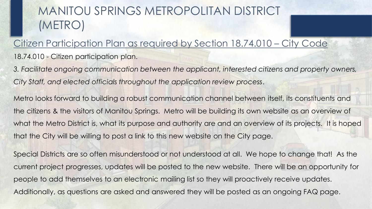18.74.010 - Citizen participation plan. Citizen Participation Plan as required by Section 18.74.010 – City Code

*3. Facilitate ongoing communication between the applicant, interested citizens and property owners, City Staff, and elected officials throughout the application review process*.

Metro looks forward to building a robust communication channel between itself, its constituents and the citizens & the visitors of Manitou Springs. Metro will be building its own website as an overview of what the Metro District is, what its purpose and authority are and an overview of its projects. It is hoped that the City will be willing to post a link to this new website on the City page.

Special Districts are so often misunderstood or not understood at all. We hope to change that! As the current project progresses, updates will be posted to the new website. There will be an opportunity for people to add themselves to an electronic mailing list so they will proactively receive updates. Additionally, as questions are asked and answered they will be posted as an ongoing FAQ page.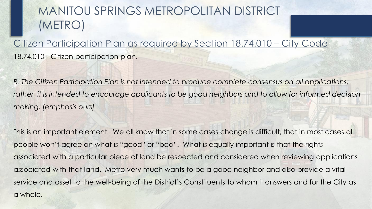18.74.010 - Citizen participation plan. Citizen Participation Plan as required by Section 18.74.010 – City Code

*B. The Citizen Participation Plan is not intended to produce complete consensus on all applications;*  rather, it is intended to encourage applicants to be good neighbors and to allow for informed decision *making. [emphasis ours]*

This is an important element. We all know that in some cases change is difficult, that in most cases all people won't agree on what is "good" or "bad". What is equally important is that the rights associated with a particular piece of land be respected and considered when reviewing applications associated with that land. Metro very much wants to be a good neighbor and also provide a vital service and asset to the well-being of the District's Constituents to whom it answers and for the City as a whole.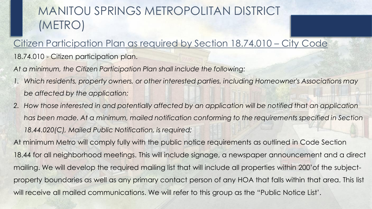#### Citizen Participation Plan as required by Section 18.74.010 – City Code

18.74.010 - Citizen participation plan.

*At a minimum, the Citizen Participation Plan shall include the following:* 

- *1. Which residents, property owners, or other interested parties, including Homeowner's Associations may be affected by the application;*
- *2. How those interested in and potentially affected by an application will be notified that an application*  has been made. At a minimum, mailed notification conforming to the requirements specified in Section *18.44.020(C), Mailed Public Notification, is required;*

At minimum Metro will comply fully with the public notice requirements as outlined in Code Section 18.44 for all neighborhood meetings. This will include signage, a newspaper announcement and a direct mailing. We will develop the required mailing list that will include all properties within 200'of the subjectproperty boundaries as well as any primary contact person of any HOA that falls within that area. This list will receive all mailed communications. We will refer to this group as the "Public Notice List'.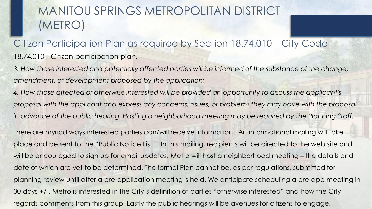#### 18.74.010 - Citizen participation plan. Citizen Participation Plan as required by Section 18.74.010 – City Code

*3. How those interested and potentially affected parties will be informed of the substance of the change, amendment, or development proposed by the application;* 

*4. How those affected or otherwise interested will be provided an opportunity to discuss the applicant's proposal with the applicant and express any concerns, issues, or problems they may have with the proposal*  in advance of the public hearing. Hosting a neighborhood meeting may be required by the Planning Staff;

There are myriad ways interested parties can/will receive information. An informational mailing will take place and be sent to the "Public Notice List." In this mailing, recipients will be directed to the web site and will be encouraged to sign up for email updates. Metro will host a neighborhood meeting – the details and date of which are yet to be determined. The formal Plan cannot be, as per regulations, submitted for planning review until after a pre-application meeting is held. We anticipate scheduling a pre-app meeting in 30 days +/-. Metro is interested in the City's definition of parties "otherwise interested" and how the City regards comments from this group. Lastly the public hearings will be avenues for citizens to engage.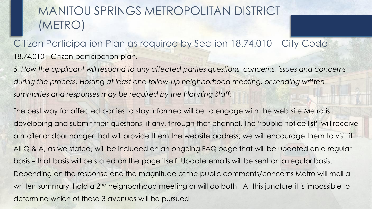18.74.010 - Citizen participation plan. Citizen Participation Plan as required by Section 18.74.010 – City Code

*5. How the applicant will respond to any affected parties questions, concerns, issues and concerns*  during the process. Hosting at least one follow-up neighborhood meeting, or sending written *summaries and responses may be required by the Planning Staff;*

The best way for affected parties to stay informed will be to engage with the web site Metro is developing and submit their questions, if any, through that channel. The "public notice list" will receive a mailer or door hanger that will provide them the website address; we will encourage them to visit it. All Q & A, as we stated, will be included on an ongoing FAQ page that will be updated on a regular basis – that basis will be stated on the page itself. Update emails will be sent on a regular basis. Depending on the response and the magnitude of the public comments/concerns Metro will mail a written summary, hold a 2<sup>nd</sup> neighborhood meeting or will do both. At this juncture it is impossible to determine which of these 3 avenues will be pursued.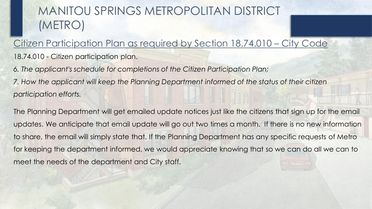18.74.010 - Citizen participation plan. Citizen Participation Plan as required by Section 18.74.010 – City Code

*6. The applicant's schedule for completions of the Citizen Participation Plan; 7. How the applicant will keep the Planning Department informed of the status of their citizen participation efforts.*

The Planning Department will get emailed update notices just like the citizens that sign up for the email updates. We anticipate that email update will go out two times a month. If there is no new information to share, the email will simply state that. If the Planning Department has any specific requests of Metro for keeping the department informed, we would appreciate knowing that so we can do all we can to meet the needs of the department and City staff.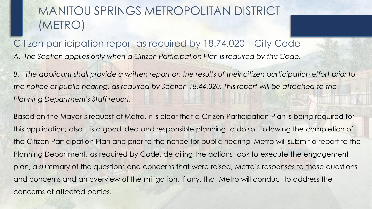#### Citizen participation report as required by 18.74.020 – City Code

*A. The Section applies only when a Citizen Participation Plan is required by this Code.* 

*B. The applicant shall provide a written report on the results of their citizen participation effort prior to the notice of public hearing, as required by Section 18.44.020. This report will be attached to the Planning Department's Staff report.*

Based on the Mayor's request of Metro, it is clear that a Citizen Participation Plan is being required for this application; also it is a good idea and responsible planning to do so. Following the completion of the Citizen Participation Plan and prior to the notice for public hearing, Metro will submit a report to the Planning Department, as required by Code, detailing the actions took to execute the engagement plan, a summary of the questions and concerns that were raised, Metro's responses to those questions and concerns and an overview of the mitigation, if any, that Metro will conduct to address the concerns of affected parties.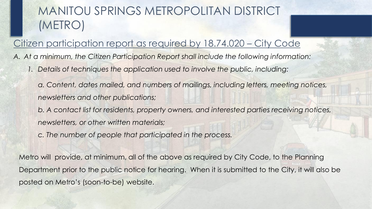#### Citizen participation report as required by 18.74.020 – City Code

*A. At a minimum, the Citizen Participation Report shall include the following information:* 

- *1. Details of techniques the application used to involve the public, including:* 
	- *a. Content, dates mailed, and numbers of mailings, including letters, meeting notices, newsletters and other publications;*
	- *b. A contact list for residents, property owners, and interested parties receiving notices, newsletters, or other written materials;*
	- *c. The number of people that participated in the process.*

Metro will provide, at minimum, all of the above as required by City Code, to the Planning Department prior to the public notice for hearing. When it is submitted to the City, it will also be posted on Metro's (soon-to-be) website.